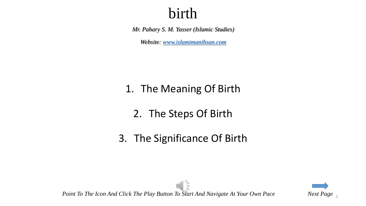*Mr. Pahary S. M. Yasser (Islamic Studies)*

*Website: [www.islamimanihsan.com](http://www.islamimanihsan.com/)*

#### 1. The Meaning Of Birth

- 2. The Steps Of Birth
- 3. The Significance Of Birth



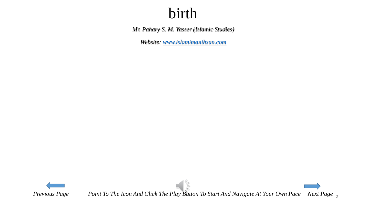*Mr. Pahary S. M. Yasser (Islamic Studies)*

*Website: [www.islamimanihsan.com](http://www.islamimanihsan.com/)*



*Previous Page Point To The Icon And Click The Play Button To Start And Navigate At Your Own Pace Next Page* 2

 $\frac{1}{2}$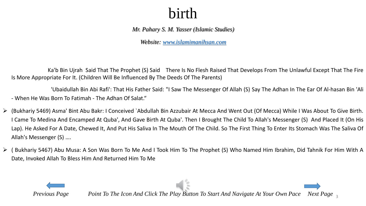*Mr. Pahary S. M. Yasser (Islamic Studies)*

*Website: [www.islamimanihsan.com](http://www.islamimanihsan.com/)*

Ka'b Bin Ujrah Said That The Prophet (S) Said …There Is No Flesh Raised That Develops From The Unlawful Except That The Fire Is More Appropriate For It. (Children Will Be Influenced By The Deeds Of The Parents)

'Ubaidullah Bin Abi Rafi': That His Father Said: "I Saw The Messenger Of Allah (S) Say The Adhan In The Ear Of Al-hasan Bin 'Ali - When He Was Born To Fatimah - The Adhan Of Salat."

- (Bukhariy 5469) Asma' Bint Abu Bakr: I Conceived `Abdullah Bin Azzubair At Mecca And Went Out (Of Mecca) While I Was About To Give Birth. I Came To Medina And Encamped At Quba', And Gave Birth At Quba'. Then I Brought The Child To Allah's Messenger (S) And Placed It (On His Lap). He Asked For A Date, Chewed It, And Put His Saliva In The Mouth Of The Child. So The First Thing To Enter Its Stomach Was The Saliva Of Allah's Messenger (S) ….
- ( Bukhariy 5467) Abu Musa: A Son Was Born To Me And I Took Him To The Prophet (S) Who Named Him Ibrahim, Did Tahnik For Him With A Date, Invoked Allah To Bless Him And Returned Him To Me



*Previous Page Point To The Icon And Click The Play Button To Start And Navigate At Your Own Pace Next Page*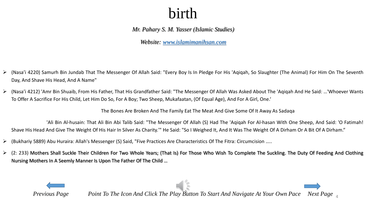*Mr. Pahary S. M. Yasser (Islamic Studies)*

*Website: [www.islamimanihsan.com](http://www.islamimanihsan.com/)*

- (Nasa'i 4220) Samurh Bin Jundab That The Messenger Of Allah Said: "Every Boy Is In Pledge For His 'Aqiqah, So Slaughter (The Animal) For Him On The Seventh Day, And Shave His Head, And A Name"
- (Nasa'i 4212) 'Amr Bin Shuaib, From His Father, That His Grandfather Said: "The Messenger Of Allah Was Asked About The 'Aqiqah And He Said: …'Whoever Wants To Offer A Sacrifice For His Child, Let Him Do So, For A Boy; Two Sheep, Mukafaatan, (Of Equal Age), And For A Girl, One.'

The Bones Are Broken And The Family Eat The Meat And Give Some Of It Away As Sadaqa

'Ali Bin Al-husain: That Ali Bin Abi Talib Said: "The Messenger Of Allah (S) Had The 'Aqiqah For Al-hasan With One Sheep, And Said: 'O Fatimah! Shave His Head And Give The Weight Of His Hair In Silver As Charity.'" He Said: "So I Weighed It, And It Was The Weight Of A Dirham Or A Bit Of A Dirham."

- (Bukhariy 5889) Abu Huraira: Allah's Messenger (S) Said, "Five Practices Are Characteristics Of The Fitra: Circumcision …..
- $\ge$  (2: 233) Mothers Shall Suckle Their Children For Two Whole Years; (That Is) For Those Who Wish To Complete The Suckling. The Duty Of Feeding And Clothing Nursing Mothers In A Seemly Manner Is Upon The Father Of The Child …



*Previous Page Point To The Icon And Click The Play Button To Start And Navigate At Your Own Pace Next Page*